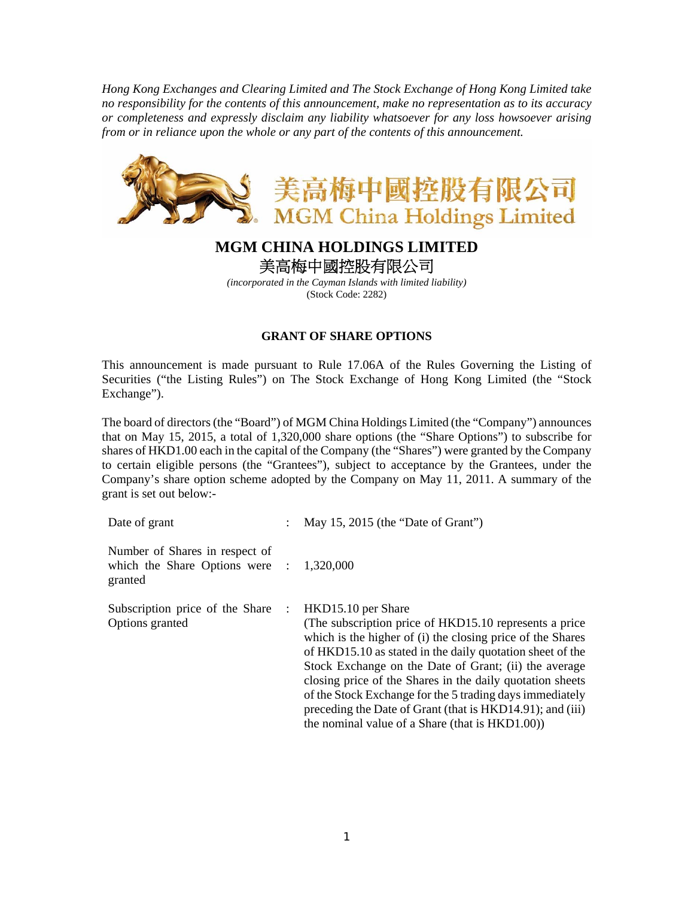*Hong Kong Exchanges and Clearing Limited and The Stock Exchange of Hong Kong Limited take no responsibility for the contents of this announcement, make no representation as to its accuracy or completeness and expressly disclaim any liability whatsoever for any loss howsoever arising from or in reliance upon the whole or any part of the contents of this announcement.* 



## **MGM CHINA HOLDINGS LIMITED**  美高梅中國控股有限公司

*(incorporated in the Cayman Islands with limited liability)*  (Stock Code: 2282)

## **GRANT OF SHARE OPTIONS**

This announcement is made pursuant to Rule 17.06A of the Rules Governing the Listing of Securities ("the Listing Rules") on The Stock Exchange of Hong Kong Limited (the "Stock Exchange").

The board of directors (the "Board") of MGM China Holdings Limited (the "Company") announces that on May 15, 2015, a total of 1,320,000 share options (the "Share Options") to subscribe for shares of HKD1.00 each in the capital of the Company (the "Shares") were granted by the Company to certain eligible persons (the "Grantees"), subject to acceptance by the Grantees, under the Company's share option scheme adopted by the Company on May 11, 2011. A summary of the grant is set out below:-

| Date of grant                                                               |                      | May 15, 2015 (the "Date of Grant")                                                                                                                                                                                                                                                                                                                                                                                                                                                                         |
|-----------------------------------------------------------------------------|----------------------|------------------------------------------------------------------------------------------------------------------------------------------------------------------------------------------------------------------------------------------------------------------------------------------------------------------------------------------------------------------------------------------------------------------------------------------------------------------------------------------------------------|
| Number of Shares in respect of<br>which the Share Options were :<br>granted |                      | 1,320,000                                                                                                                                                                                                                                                                                                                                                                                                                                                                                                  |
| Subscription price of the Share<br>Options granted                          | $\ddot{\phantom{a}}$ | HKD15.10 per Share<br>(The subscription price of HKD15.10 represents a price)<br>which is the higher of (i) the closing price of the Shares<br>of HKD15.10 as stated in the daily quotation sheet of the<br>Stock Exchange on the Date of Grant; (ii) the average<br>closing price of the Shares in the daily quotation sheets<br>of the Stock Exchange for the 5 trading days immediately<br>preceding the Date of Grant (that is HKD14.91); and (iii)<br>the nominal value of a Share (that is HKD1.00)) |